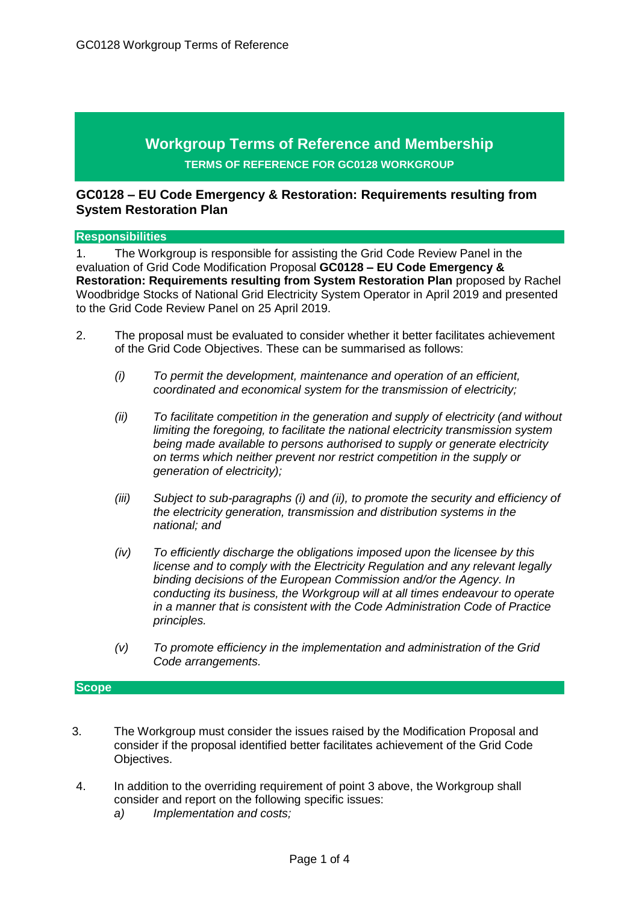# **Workgroup Terms of Reference and Membership TERMS OF REFERENCE FOR GC0128 WORKGROUP**

## **GC0128 – EU Code Emergency & Restoration: Requirements resulting from System Restoration Plan**

#### **Responsibilities**

1. The Workgroup is responsible for assisting the Grid Code Review Panel in the evaluation of Grid Code Modification Proposal **GC0128 – EU Code Emergency & Restoration: Requirements resulting from System Restoration Plan** proposed by Rachel Woodbridge Stocks of National Grid Electricity System Operator in April 2019 and presented to the Grid Code Review Panel on 25 April 2019.

- 2. The proposal must be evaluated to consider whether it better facilitates achievement of the Grid Code Objectives. These can be summarised as follows:
	- *(i) To permit the development, maintenance and operation of an efficient, coordinated and economical system for the transmission of electricity;*
	- *(ii) To facilitate competition in the generation and supply of electricity (and without limiting the foregoing, to facilitate the national electricity transmission system being made available to persons authorised to supply or generate electricity on terms which neither prevent nor restrict competition in the supply or generation of electricity);*
	- *(iii) Subject to sub-paragraphs (i) and (ii), to promote the security and efficiency of the electricity generation, transmission and distribution systems in the national; and*
	- *(iv) To efficiently discharge the obligations imposed upon the licensee by this license and to comply with the Electricity Regulation and any relevant legally binding decisions of the European Commission and/or the Agency. In conducting its business, the Workgroup will at all times endeavour to operate in a manner that is consistent with the Code Administration Code of Practice principles.*
	- *(v) To promote efficiency in the implementation and administration of the Grid Code arrangements.*

#### **Scope**

- 3. The Workgroup must consider the issues raised by the Modification Proposal and consider if the proposal identified better facilitates achievement of the Grid Code Objectives.
- 4. In addition to the overriding requirement of point 3 above, the Workgroup shall consider and report on the following specific issues:
	- *a) Implementation and costs;*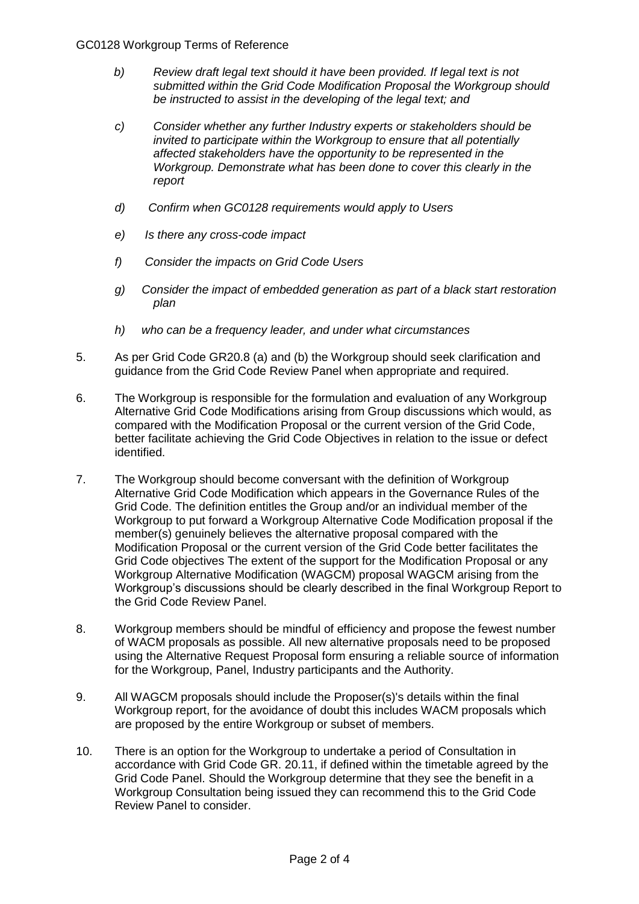- *b) Review draft legal text should it have been provided. If legal text is not submitted within the Grid Code Modification Proposal the Workgroup should be instructed to assist in the developing of the legal text; and*
- *c) Consider whether any further Industry experts or stakeholders should be invited to participate within the Workgroup to ensure that all potentially affected stakeholders have the opportunity to be represented in the Workgroup. Demonstrate what has been done to cover this clearly in the report*
- *d) Confirm when GC0128 requirements would apply to Users*
- *e) Is there any cross-code impact*
- *f) Consider the impacts on Grid Code Users*
- *g) Consider the impact of embedded generation as part of a black start restoration plan*
- *h) who can be a frequency leader, and under what circumstances*
- 5. As per Grid Code GR20.8 (a) and (b) the Workgroup should seek clarification and guidance from the Grid Code Review Panel when appropriate and required.
- 6. The Workgroup is responsible for the formulation and evaluation of any Workgroup Alternative Grid Code Modifications arising from Group discussions which would, as compared with the Modification Proposal or the current version of the Grid Code, better facilitate achieving the Grid Code Objectives in relation to the issue or defect identified.
- 7. The Workgroup should become conversant with the definition of Workgroup Alternative Grid Code Modification which appears in the Governance Rules of the Grid Code. The definition entitles the Group and/or an individual member of the Workgroup to put forward a Workgroup Alternative Code Modification proposal if the member(s) genuinely believes the alternative proposal compared with the Modification Proposal or the current version of the Grid Code better facilitates the Grid Code objectives The extent of the support for the Modification Proposal or any Workgroup Alternative Modification (WAGCM) proposal WAGCM arising from the Workgroup's discussions should be clearly described in the final Workgroup Report to the Grid Code Review Panel.
- 8. Workgroup members should be mindful of efficiency and propose the fewest number of WACM proposals as possible. All new alternative proposals need to be proposed using the Alternative Request Proposal form ensuring a reliable source of information for the Workgroup, Panel, Industry participants and the Authority.
- 9. All WAGCM proposals should include the Proposer(s)'s details within the final Workgroup report, for the avoidance of doubt this includes WACM proposals which are proposed by the entire Workgroup or subset of members.
- 10. There is an option for the Workgroup to undertake a period of Consultation in accordance with Grid Code GR. 20.11, if defined within the timetable agreed by the Grid Code Panel. Should the Workgroup determine that they see the benefit in a Workgroup Consultation being issued they can recommend this to the Grid Code Review Panel to consider.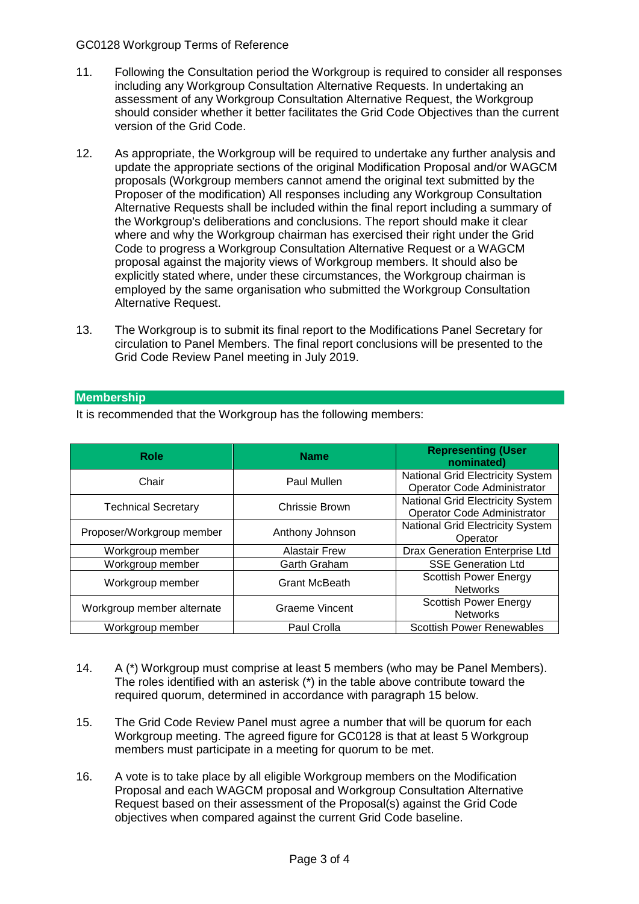## GC0128 Workgroup Terms of Reference

- 11. Following the Consultation period the Workgroup is required to consider all responses including any Workgroup Consultation Alternative Requests. In undertaking an assessment of any Workgroup Consultation Alternative Request, the Workgroup should consider whether it better facilitates the Grid Code Objectives than the current version of the Grid Code.
- 12. As appropriate, the Workgroup will be required to undertake any further analysis and update the appropriate sections of the original Modification Proposal and/or WAGCM proposals (Workgroup members cannot amend the original text submitted by the Proposer of the modification) All responses including any Workgroup Consultation Alternative Requests shall be included within the final report including a summary of the Workgroup's deliberations and conclusions. The report should make it clear where and why the Workgroup chairman has exercised their right under the Grid Code to progress a Workgroup Consultation Alternative Request or a WAGCM proposal against the majority views of Workgroup members. It should also be explicitly stated where, under these circumstances, the Workgroup chairman is employed by the same organisation who submitted the Workgroup Consultation Alternative Request.
- 13. The Workgroup is to submit its final report to the Modifications Panel Secretary for circulation to Panel Members. The final report conclusions will be presented to the Grid Code Review Panel meeting in July 2019.

## **Membership**

It is recommended that the Workgroup has the following members:

| <b>Role</b>                | <b>Name</b>          | <b>Representing (User</b><br>nominated)                         |
|----------------------------|----------------------|-----------------------------------------------------------------|
| Chair                      | Paul Mullen          | National Grid Electricity System<br>Operator Code Administrator |
| <b>Technical Secretary</b> | Chrissie Brown       | National Grid Electricity System<br>Operator Code Administrator |
| Proposer/Workgroup member  | Anthony Johnson      | National Grid Electricity System<br>Operator                    |
| Workgroup member           | <b>Alastair Frew</b> | Drax Generation Enterprise Ltd                                  |
| Workgroup member           | <b>Garth Graham</b>  | <b>SSE Generation Ltd</b>                                       |
| Workgroup member           | <b>Grant McBeath</b> | <b>Scottish Power Energy</b><br><b>Networks</b>                 |
| Workgroup member alternate | Graeme Vincent       | <b>Scottish Power Energy</b><br><b>Networks</b>                 |
| Workgroup member           | <b>Paul Crolla</b>   | <b>Scottish Power Renewables</b>                                |

- 14. A (\*) Workgroup must comprise at least 5 members (who may be Panel Members). The roles identified with an asterisk (\*) in the table above contribute toward the required quorum, determined in accordance with paragraph 15 below.
- 15. The Grid Code Review Panel must agree a number that will be quorum for each Workgroup meeting. The agreed figure for GC0128 is that at least 5 Workgroup members must participate in a meeting for quorum to be met.
- 16. A vote is to take place by all eligible Workgroup members on the Modification Proposal and each WAGCM proposal and Workgroup Consultation Alternative Request based on their assessment of the Proposal(s) against the Grid Code objectives when compared against the current Grid Code baseline.